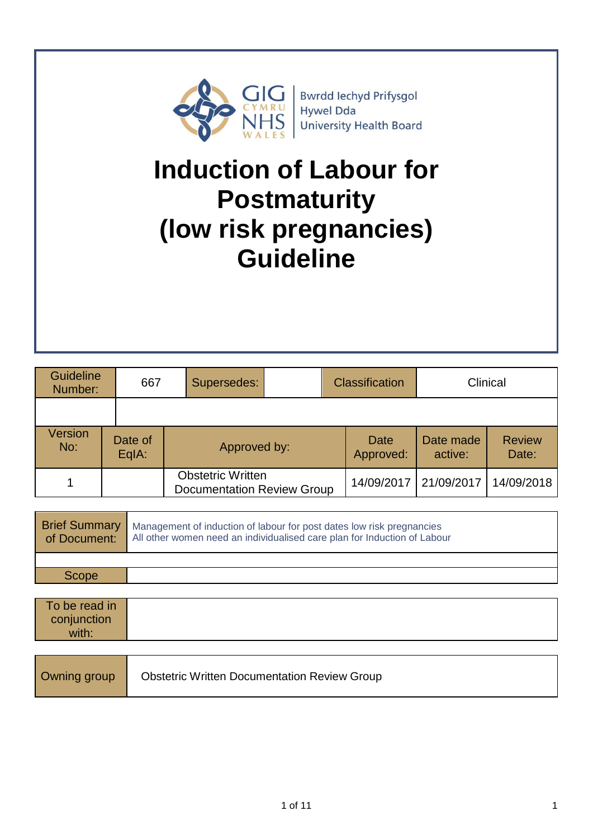

Bwrdd Iechyd Prifysgol<br>Hywel Dda University Health Board

# **Induction of Labour for Postmaturity (low risk pregnancies) Guideline**

| <b>Guideline</b><br>Number:               |  | 667 | Supersedes:                                                   |  | <b>Classification</b> |                      | Clinical               |  |
|-------------------------------------------|--|-----|---------------------------------------------------------------|--|-----------------------|----------------------|------------------------|--|
|                                           |  |     |                                                               |  |                       |                      |                        |  |
| <b>Version</b><br>Date of<br>No:<br>EqIA: |  |     | Approved by:                                                  |  | Date<br>Approved:     | Date made<br>active: | <b>Review</b><br>Date: |  |
|                                           |  |     | <b>Obstetric Written</b><br><b>Documentation Review Group</b> |  | 14/09/2017            | 21/09/2017           | 14/09/2018             |  |
|                                           |  |     |                                                               |  |                       |                      |                        |  |

| <b>Brief Summary</b><br>of Document:  | Management of induction of labour for post dates low risk pregnancies<br>All other women need an individualised care plan for Induction of Labour |
|---------------------------------------|---------------------------------------------------------------------------------------------------------------------------------------------------|
| Scope                                 |                                                                                                                                                   |
|                                       |                                                                                                                                                   |
| To be read in<br>conjunction<br>with: |                                                                                                                                                   |

|--|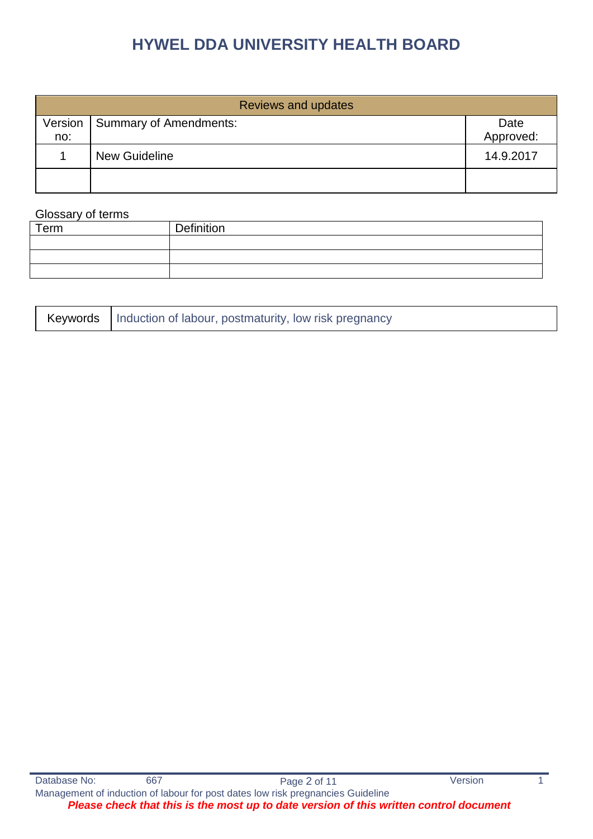|         | <b>Reviews and updates</b> |           |
|---------|----------------------------|-----------|
| Version | Summary of Amendments:     | Date      |
| no:     |                            | Approved: |
|         | <b>New Guideline</b>       | 14.9.2017 |
|         |                            |           |

#### Glossary of terms

| Term | Definition |
|------|------------|
|      |            |
|      |            |
|      |            |
|      |            |

| Keywords   Induction of labour, postmaturity, low risk pregnancy |
|------------------------------------------------------------------|
|------------------------------------------------------------------|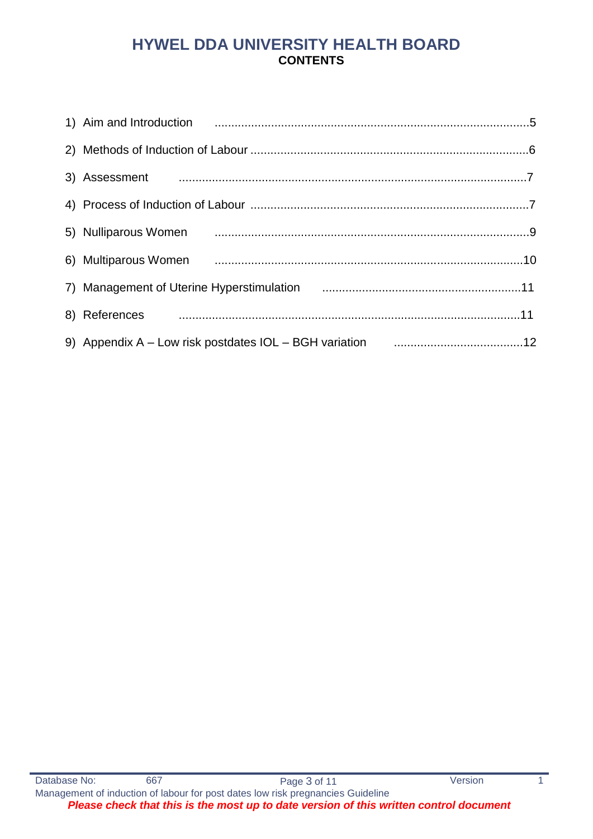# **HYWEL DDA UNIVERSITY HEALTH BOARD CONTENTS**

| 1) Aim and Introduction <b>contained a material contract and introduction</b> contained and anti-                                 |  |
|-----------------------------------------------------------------------------------------------------------------------------------|--|
|                                                                                                                                   |  |
|                                                                                                                                   |  |
|                                                                                                                                   |  |
| 5) Nulliparous Women <b>contracts</b> and the contract of the contract of the contract of the contract of the set of t            |  |
|                                                                                                                                   |  |
| 7) Management of Uterine Hyperstimulation [11] Management of Uterine Hyperstimulation [11] Management of Uterine Hyperstimulation |  |
|                                                                                                                                   |  |
| 9) Appendix A - Low risk postdates IOL - BGH variation maturities and the 12                                                      |  |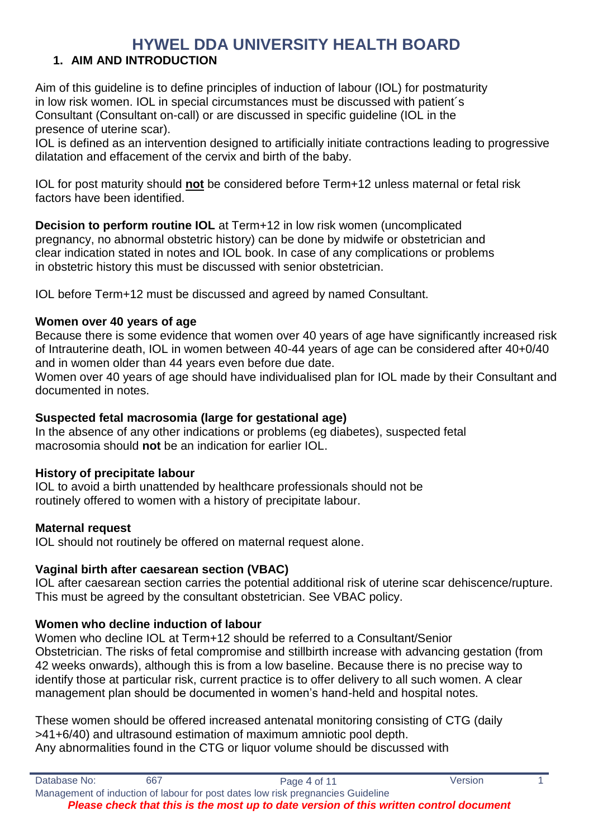# **1. AIM AND INTRODUCTION**

Aim of this guideline is to define principles of induction of labour (IOL) for postmaturity in low risk women. IOL in special circumstances must be discussed with patient´s Consultant (Consultant on-call) or are discussed in specific guideline (IOL in the presence of uterine scar).

IOL is defined as an intervention designed to artificially initiate contractions leading to progressive dilatation and effacement of the cervix and birth of the baby.

IOL for post maturity should **not** be considered before Term+12 unless maternal or fetal risk factors have been identified.

**Decision to perform routine IOL** at Term+12 in low risk women (uncomplicated pregnancy, no abnormal obstetric history) can be done by midwife or obstetrician and clear indication stated in notes and IOL book. In case of any complications or problems in obstetric history this must be discussed with senior obstetrician.

IOL before Term+12 must be discussed and agreed by named Consultant.

### **Women over 40 years of age**

Because there is some evidence that women over 40 years of age have significantly increased risk of Intrauterine death, IOL in women between 40-44 years of age can be considered after 40+0/40 and in women older than 44 years even before due date.

Women over 40 years of age should have individualised plan for IOL made by their Consultant and documented in notes.

### **Suspected fetal macrosomia (large for gestational age)**

In the absence of any other indications or problems (eg diabetes), suspected fetal macrosomia should **not** be an indication for earlier IOL.

### **History of precipitate labour**

IOL to avoid a birth unattended by healthcare professionals should not be routinely offered to women with a history of precipitate labour.

### **Maternal request**

IOL should not routinely be offered on maternal request alone.

### **Vaginal birth after caesarean section (VBAC)**

IOL after caesarean section carries the potential additional risk of uterine scar dehiscence/rupture. This must be agreed by the consultant obstetrician. See VBAC policy.

### **Women who decline induction of labour**

Women who decline IOL at Term+12 should be referred to a Consultant/Senior Obstetrician. The risks of fetal compromise and stillbirth increase with advancing gestation (from 42 weeks onwards), although this is from a low baseline. Because there is no precise way to identify those at particular risk, current practice is to offer delivery to all such women. A clear management plan should be documented in women's hand-held and hospital notes.

These women should be offered increased antenatal monitoring consisting of CTG (daily >41+6/40) and ultrasound estimation of maximum amniotic pool depth. Any abnormalities found in the CTG or liquor volume should be discussed with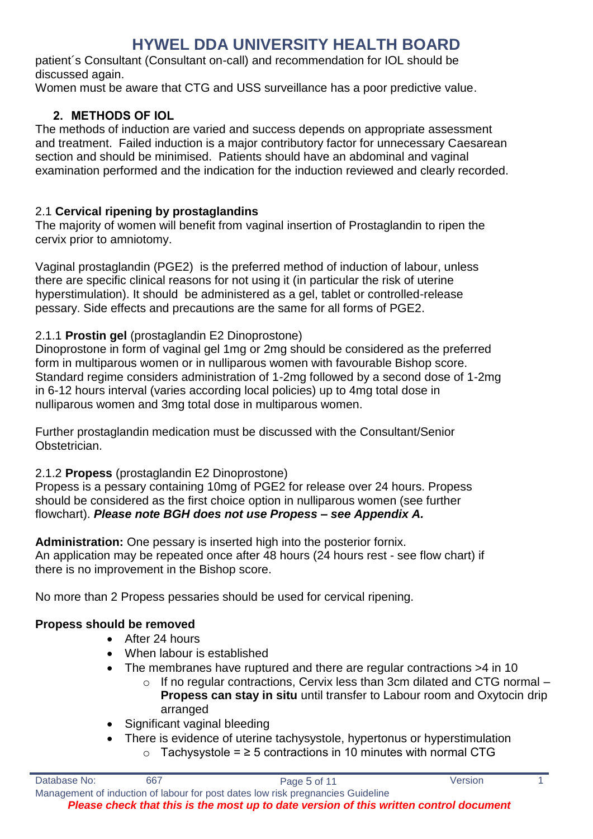patient´s Consultant (Consultant on-call) and recommendation for IOL should be discussed again.

Women must be aware that CTG and USS surveillance has a poor predictive value.

### **2. METHODS OF IOL**

The methods of induction are varied and success depends on appropriate assessment and treatment. Failed induction is a major contributory factor for unnecessary Caesarean section and should be minimised. Patients should have an abdominal and vaginal examination performed and the indication for the induction reviewed and clearly recorded.

### 2.1 **Cervical ripening by prostaglandins**

The majority of women will benefit from vaginal insertion of Prostaglandin to ripen the cervix prior to amniotomy.

Vaginal prostaglandin (PGE2) is the preferred method of induction of labour, unless there are specific clinical reasons for not using it (in particular the risk of uterine hyperstimulation). It should be administered as a gel, tablet or controlled-release pessary. Side effects and precautions are the same for all forms of PGE2.

### 2.1.1 **Prostin gel** (prostaglandin E2 Dinoprostone)

Dinoprostone in form of vaginal gel 1mg or 2mg should be considered as the preferred form in multiparous women or in nulliparous women with favourable Bishop score. Standard regime considers administration of 1-2mg followed by a second dose of 1-2mg in 6-12 hours interval (varies according local policies) up to 4mg total dose in nulliparous women and 3mg total dose in multiparous women.

Further prostaglandin medication must be discussed with the Consultant/Senior Obstetrician.

### 2.1.2 **Propess** (prostaglandin E2 Dinoprostone)

Propess is a pessary containing 10mg of PGE2 for release over 24 hours. Propess should be considered as the first choice option in nulliparous women (see further flowchart). *Please note BGH does not use Propess – see Appendix A.*

**Administration:** One pessary is inserted high into the posterior fornix. An application may be repeated once after 48 hours (24 hours rest - see flow chart) if there is no improvement in the Bishop score.

No more than 2 Propess pessaries should be used for cervical ripening.

# **Propess should be removed**

- After 24 hours
- When labour is established
- The membranes have ruptured and there are regular contractions >4 in 10
	- $\circ$  If no regular contractions, Cervix less than 3cm dilated and CTG normal **Propess can stay in situ** until transfer to Labour room and Oxytocin drip arranged
- Significant vaginal bleeding
- There is evidence of uterine tachysystole, hypertonus or hyperstimulation o Tachysystole = ≥ 5 contractions in 10 minutes with normal CTG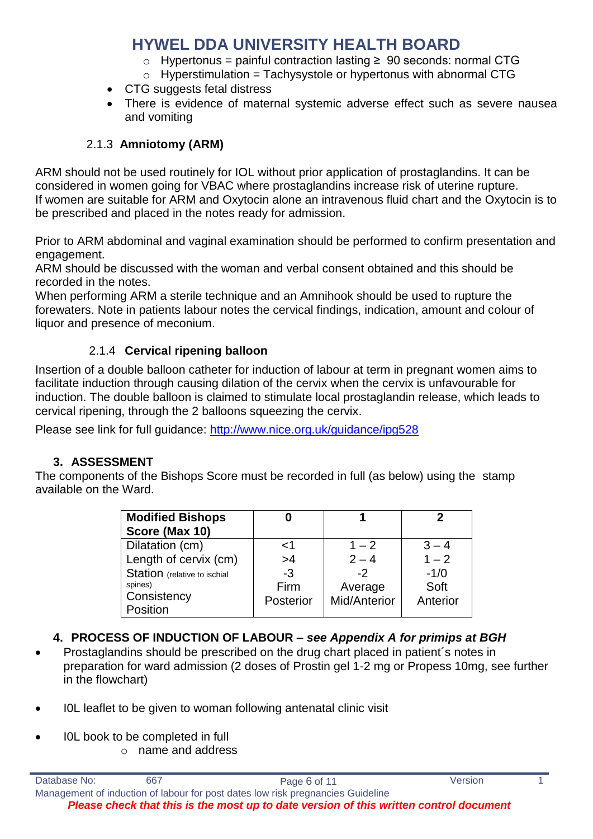- o Hypertonus = painful contraction lasting ≥ 90 seconds: normal CTG
- $\circ$  Hyperstimulation = Tachysystole or hypertonus with abnormal CTG
- CTG suggests fetal distress
- There is evidence of maternal systemic adverse effect such as severe nausea and vomiting

# 2.1.3 **Amniotomy (ARM)**

ARM should not be used routinely for IOL without prior application of prostaglandins. It can be considered in women going for VBAC where prostaglandins increase risk of uterine rupture. If women are suitable for ARM and Oxytocin alone an intravenous fluid chart and the Oxytocin is to be prescribed and placed in the notes ready for admission.

Prior to ARM abdominal and vaginal examination should be performed to confirm presentation and engagement.

ARM should be discussed with the woman and verbal consent obtained and this should be recorded in the notes.

When performing ARM a sterile technique and an Amnihook should be used to rupture the forewaters. Note in patients labour notes the cervical findings, indication, amount and colour of liquor and presence of meconium.

# 2.1.4 **Cervical ripening balloon**

Insertion of a double balloon catheter for induction of labour at term in pregnant women aims to facilitate induction through causing dilation of the cervix when the cervix is unfavourable for induction. The double balloon is claimed to stimulate local prostaglandin release, which leads to cervical ripening, through the 2 balloons squeezing the cervix.

Please see link for full guidance:<http://www.nice.org.uk/guidance/ipg528>

# **3. ASSESSMENT**

The components of the Bishops Score must be recorded in full (as below) using the stamp available on the Ward.

| <b>Modified Bishops</b><br>Score (Max 10) |           |              |          |
|-------------------------------------------|-----------|--------------|----------|
| Dilatation (cm)                           | 1>        | $1 - 2$      | $3 - 4$  |
| Length of cervix (cm)                     | >4        | $2 - 4$      | $1 - 2$  |
| Station (relative to ischial              | $-3$      | $-2$         | $-1/0$   |
| spines)                                   | Firm      | Average      | Soft     |
| Consistency                               | Posterior | Mid/Anterior | Anterior |
| Position                                  |           |              |          |

- **4. PROCESS OF INDUCTION OF LABOUR –** *see Appendix A for primips at BGH*
- Prostaglandins should be prescribed on the drug chart placed in patient´s notes in preparation for ward admission (2 doses of Prostin gel 1-2 mg or Propess 10mg, see further in the flowchart)
- I0L leaflet to be given to woman following antenatal clinic visit
- I0L book to be completed in full
	- o name and address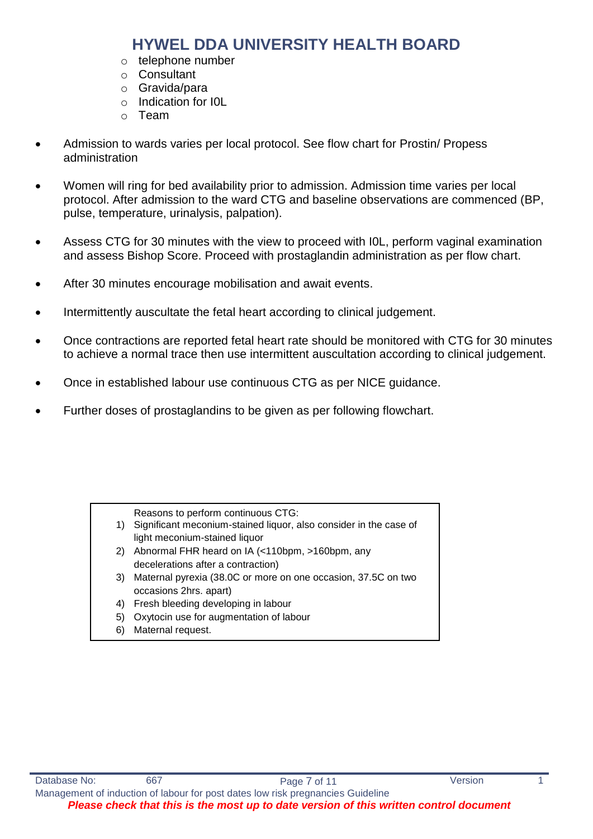- o telephone number
- o Consultant
- o Gravida/para
- o Indication for I0L
- o Team
- Admission to wards varies per local protocol. See flow chart for Prostin/ Propess administration
- Women will ring for bed availability prior to admission. Admission time varies per local protocol. After admission to the ward CTG and baseline observations are commenced (BP, pulse, temperature, urinalysis, palpation).
- Assess CTG for 30 minutes with the view to proceed with I0L, perform vaginal examination and assess Bishop Score. Proceed with prostaglandin administration as per flow chart.
- After 30 minutes encourage mobilisation and await events.
- Intermittently auscultate the fetal heart according to clinical judgement.
- Once contractions are reported fetal heart rate should be monitored with CTG for 30 minutes to achieve a normal trace then use intermittent auscultation according to clinical judgement.
- Once in established labour use continuous CTG as per NICE guidance.
- Further doses of prostaglandins to be given as per following flowchart.

Reasons to perform continuous CTG:

- 1) Significant meconium-stained liquor, also consider in the case of light meconium-stained liquor
- 2) Abnormal FHR heard on IA (<110bpm, >160bpm, any decelerations after a contraction)
- 3) Maternal pyrexia (38.0C or more on one occasion, 37.5C on two occasions 2hrs. apart)
- 4) Fresh bleeding developing in labour
- 5) Oxytocin use for augmentation of labour
- 6) Maternal request.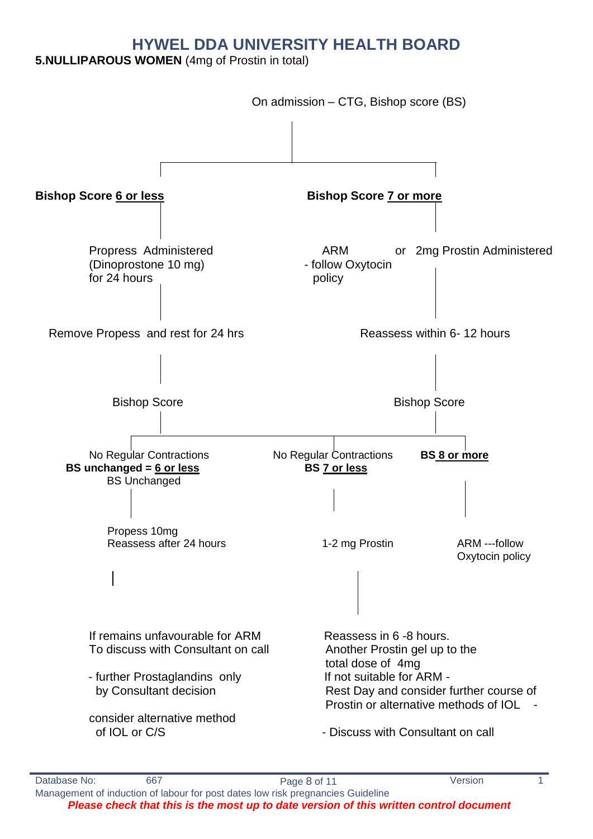### **5.NULLIPAROUS WOMEN** (4mg of Prostin in total)

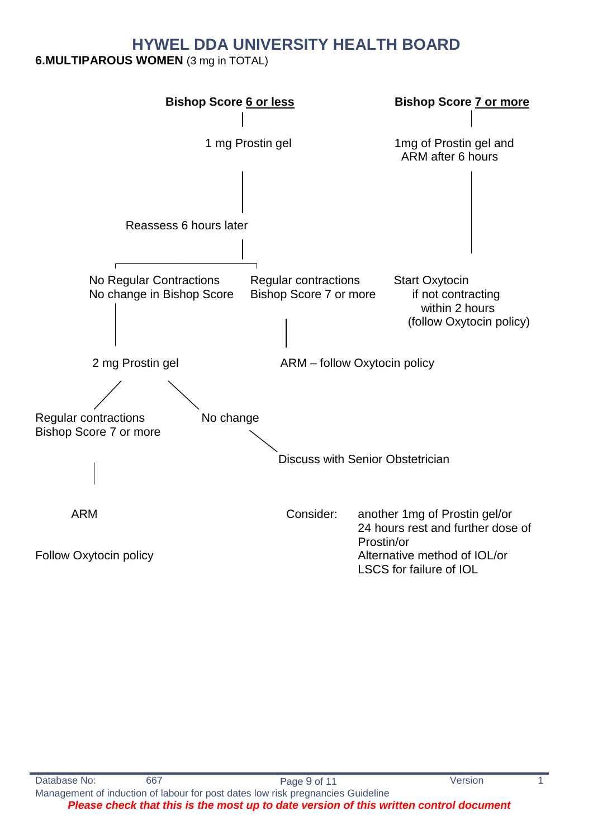**6.MULTIPAROUS WOMEN** (3 mg in TOTAL)

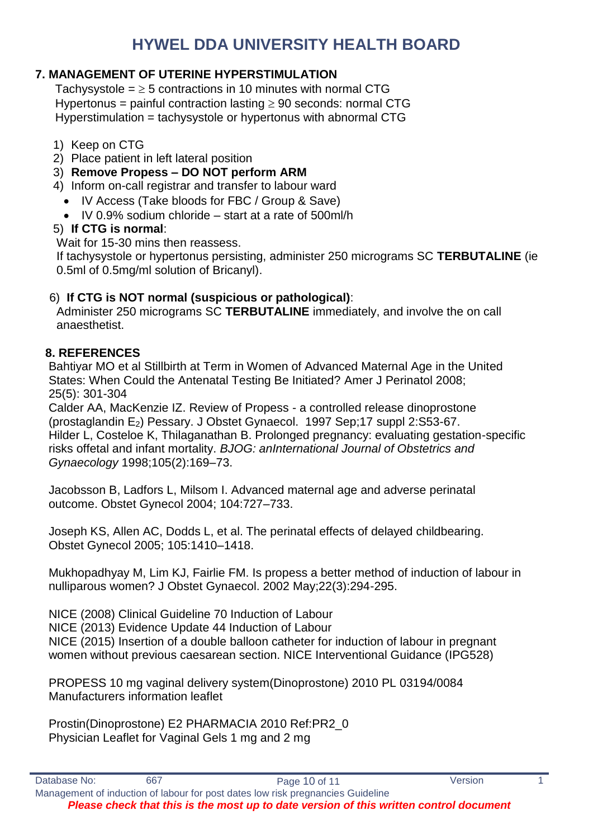# **7. MANAGEMENT OF UTERINE HYPERSTIMULATION**

Tachysystole  $=$   $\geq$  5 contractions in 10 minutes with normal CTG Hypertonus = painful contraction lasting  $\geq 90$  seconds: normal CTG Hyperstimulation = tachysystole or hypertonus with abnormal CTG

- 1) Keep on CTG
- 2) Place patient in left lateral position
- 3) **Remove Propess – DO NOT perform ARM**
- 4) Inform on-call registrar and transfer to labour ward
- IV Access (Take bloods for FBC / Group & Save)
	- $\bullet$  IV 0.9% sodium chloride start at a rate of 500ml/h

#### 5) **If CTG is normal**:

Wait for 15-30 mins then reassess.

If tachysystole or hypertonus persisting, administer 250 micrograms SC **TERBUTALINE** (ie 0.5ml of 0.5mg/ml solution of Bricanyl).

### 6) **If CTG is NOT normal (suspicious or pathological)**:

Administer 250 micrograms SC **TERBUTALINE** immediately, and involve the on call anaesthetist.

### **8. REFERENCES**

 Bahtiyar MO et al Stillbirth at Term in Women of Advanced Maternal Age in the United States: When Could the Antenatal Testing Be Initiated? Amer J Perinatol 2008; 25(5): 301-304

 Calder AA, MacKenzie IZ. Review of Propess - a controlled release dinoprostone (prostaglandin E2) Pessary. J Obstet Gynaecol. 1997 Sep;17 suppl 2:S53-67. Hilder L, Costeloe K, Thilaganathan B. Prolonged pregnancy: evaluating gestation-specific risks offetal and infant mortality. *BJOG: anInternational Journal of Obstetrics and Gynaecology* 1998;105(2):169–73.

 Jacobsson B, Ladfors L, Milsom I. Advanced maternal age and adverse perinatal outcome. Obstet Gynecol 2004; 104:727–733.

 Joseph KS, Allen AC, Dodds L, et al. The perinatal effects of delayed childbearing. Obstet Gynecol 2005; 105:1410–1418.

 Mukhopadhyay M, Lim KJ, Fairlie FM. Is propess a better method of induction of labour in nulliparous women? J Obstet Gynaecol. 2002 May;22(3):294-295.

NICE (2008) Clinical Guideline 70 Induction of Labour NICE (2013) Evidence Update 44 Induction of Labour NICE (2015) Insertion of a double balloon catheter for induction of labour in pregnant women without previous caesarean section. NICE Interventional Guidance (IPG528)

 PROPESS 10 mg vaginal delivery system(Dinoprostone) 2010 PL 03194/0084 Manufacturers information leaflet

 Prostin(Dinoprostone) E2 PHARMACIA 2010 Ref:PR2\_0 Physician Leaflet for Vaginal Gels 1 mg and 2 mg